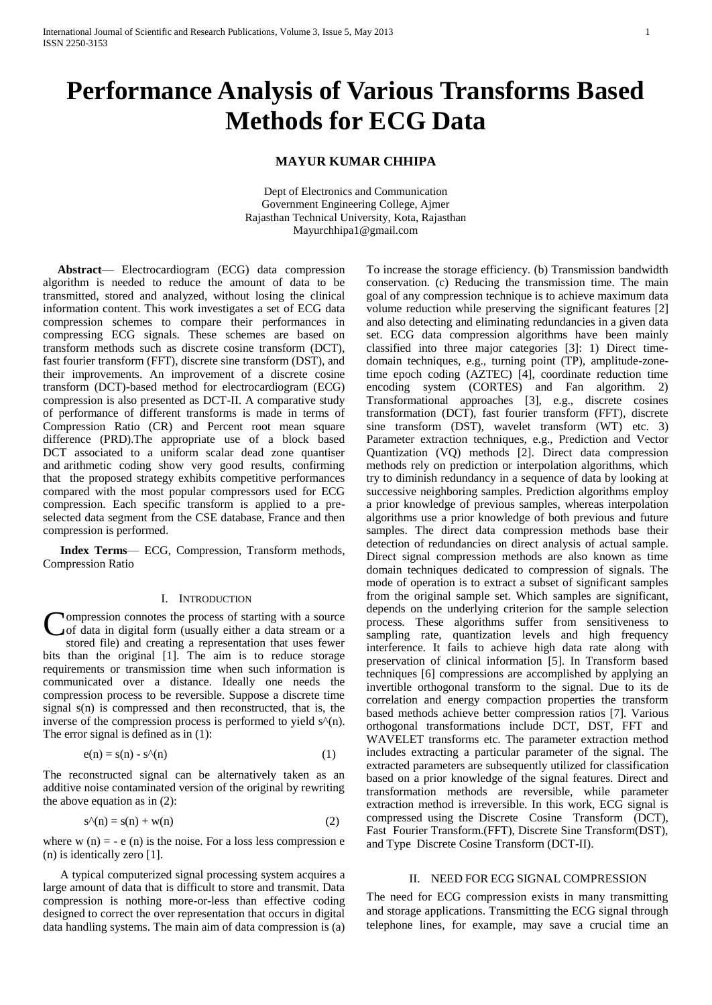# **Performance Analysis of Various Transforms Based Methods for ECG Data**

# **MAYUR KUMAR CHHIPA**

Dept of Electronics and Communication Government Engineering College, Ajmer Rajasthan Technical University, Kota, Rajasthan Mayurchhipa1@gmail.com

 **Abstract**— Electrocardiogram (ECG) data compression algorithm is needed to reduce the amount of data to be transmitted, stored and analyzed, without losing the clinical information content. This work investigates a set of ECG data compression schemes to compare their performances in compressing ECG signals. These schemes are based on transform methods such as discrete cosine transform (DCT), fast fourier transform (FFT), discrete sine transform (DST), and their improvements. An improvement of a discrete cosine transform (DCT)-based method for electrocardiogram (ECG) compression is also presented as DCT-II. A comparative study of performance of different transforms is made in terms of Compression Ratio (CR) and Percent root mean square difference (PRD).The appropriate use of a block based DCT associated to a uniform scalar dead zone quantiser and arithmetic coding show very good results, confirming that the proposed strategy exhibits competitive performances compared with the most popular compressors used for ECG compression. Each specific transform is applied to a preselected data segment from the CSE database, France and then compression is performed.

**Index Terms**— ECG, Compression, Transform methods, Compression Ratio

# I. INTRODUCTION

ompression connotes the process of starting with a source of data in digital form (usually either a data stream or a stored file) and creating a representation that uses fewer bits than the original [1]. The aim is to reduce storage requirements or transmission time when such information is communicated over a distance. Ideally one needs the compression process to be reversible. Suppose a discrete time signal s(n) is compressed and then reconstructed, that is, the inverse of the compression process is performed to yield  $s<sup>A</sup>(n)$ . The error signal is defined as in  $(1)$ : C

$$
e(n) = s(n) - s^{\Lambda}(n) \tag{1}
$$

The reconstructed signal can be alternatively taken as an additive noise contaminated version of the original by rewriting the above equation as in (2):

$$
s^{\Lambda}(n) = s(n) + w(n) \tag{2}
$$

where  $w(n) = -e(n)$  is the noise. For a loss less compression e (n) is identically zero [1].

A typical computerized signal processing system acquires a large amount of data that is difficult to store and transmit. Data compression is nothing more-or-less than effective coding designed to correct the over representation that occurs in digital data handling systems. The main aim of data compression is (a) To increase the storage efficiency. (b) Transmission bandwidth conservation. (c) Reducing the transmission time. The main goal of any compression technique is to achieve maximum data volume reduction while preserving the significant features [2] and also detecting and eliminating redundancies in a given data set. ECG data compression algorithms have been mainly classified into three major categories [3]: 1) Direct timedomain techniques, e.g., turning point (TP), amplitude-zonetime epoch coding (AZTEC) [4], coordinate reduction time encoding system (CORTES) and Fan algorithm. 2) Transformational approaches [3], e.g., discrete cosines transformation (DCT), fast fourier transform (FFT), discrete sine transform (DST), wavelet transform (WT) etc. 3) Parameter extraction techniques, e.g., Prediction and Vector Quantization (VQ) methods [2]. Direct data compression methods rely on prediction or interpolation algorithms, which try to diminish redundancy in a sequence of data by looking at successive neighboring samples. Prediction algorithms employ a prior knowledge of previous samples, whereas interpolation algorithms use a prior knowledge of both previous and future samples. The direct data compression methods base their detection of redundancies on direct analysis of actual sample. Direct signal compression methods are also known as time domain techniques dedicated to compression of signals. The mode of operation is to extract a subset of significant samples from the original sample set. Which samples are significant, depends on the underlying criterion for the sample selection process. These algorithms suffer from sensitiveness to sampling rate, quantization levels and high frequency interference. It fails to achieve high data rate along with preservation of clinical information [5]. In Transform based techniques [6] compressions are accomplished by applying an invertible orthogonal transform to the signal. Due to its de correlation and energy compaction properties the transform based methods achieve better compression ratios [7]. Various orthogonal transformations include DCT, DST, FFT and WAVELET transforms etc. The parameter extraction method includes extracting a particular parameter of the signal. The extracted parameters are subsequently utilized for classification based on a prior knowledge of the signal features. Direct and transformation methods are reversible, while parameter extraction method is irreversible. In this work, ECG signal is compressed using the Discrete Cosine Transform (DCT), Fast Fourier Transform.(FFT), Discrete Sine Transform(DST), and Type Discrete Cosine Transform (DCT-II).

## II. NEED FOR ECG SIGNAL COMPRESSION

The need for ECG compression exists in many transmitting and storage applications. Transmitting the ECG signal through telephone lines, for example, may save a crucial time an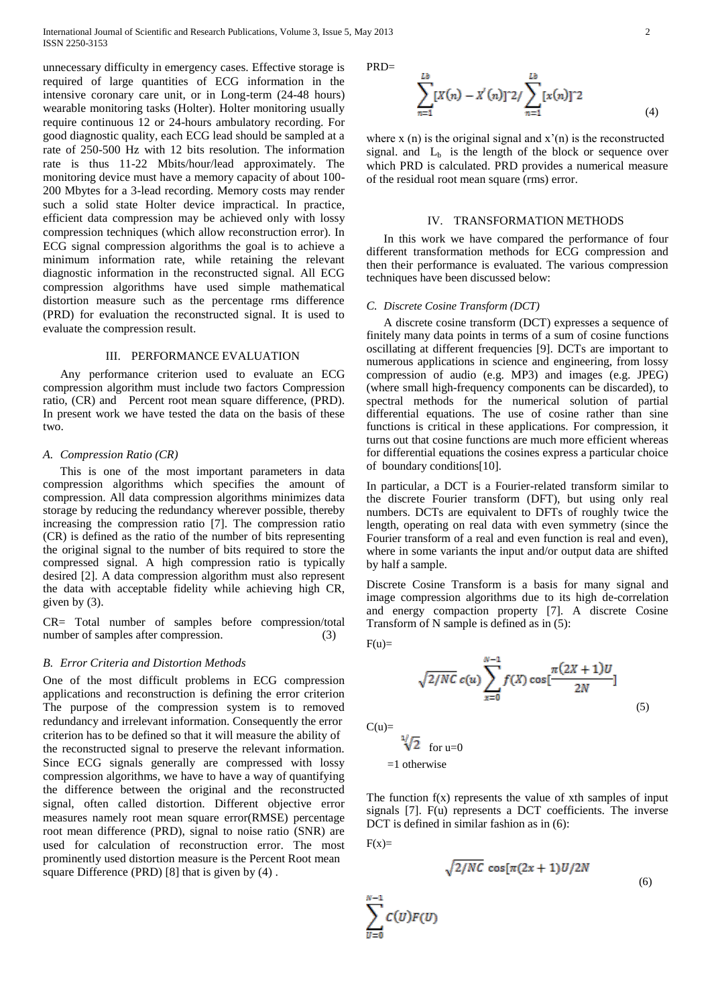unnecessary difficulty in emergency cases. Effective storage is required of large quantities of ECG information in the intensive coronary care unit, or in Long-term (24-48 hours) wearable monitoring tasks (Holter). Holter monitoring usually require continuous 12 or 24-hours ambulatory recording. For good diagnostic quality, each ECG lead should be sampled at a rate of 250-500 Hz with 12 bits resolution. The information rate is thus 11-22 Mbits/hour/lead approximately. The monitoring device must have a memory capacity of about 100- 200 Mbytes for a 3-lead recording. Memory costs may render such a solid state Holter device impractical. In practice, efficient data compression may be achieved only with lossy compression techniques (which allow reconstruction error). In ECG signal compression algorithms the goal is to achieve a minimum information rate, while retaining the relevant diagnostic information in the reconstructed signal. All ECG compression algorithms have used simple mathematical distortion measure such as the percentage rms difference (PRD) for evaluation the reconstructed signal. It is used to evaluate the compression result.

# III. PERFORMANCE EVALUATION

Any performance criterion used to evaluate an ECG compression algorithm must include two factors Compression ratio, (CR) and Percent root mean square difference, (PRD). In present work we have tested the data on the basis of these two.

#### *A. Compression Ratio (CR)*

This is one of the most important parameters in data compression algorithms which specifies the amount of compression. All data compression algorithms minimizes data storage by reducing the redundancy wherever possible, thereby increasing the compression ratio [7]. The compression ratio (CR) is defined as the ratio of the number of bits representing the original signal to the number of bits required to store the compressed signal. A high compression ratio is typically desired [2]. A data compression algorithm must also represent the data with acceptable fidelity while achieving high CR, given by (3).

CR= Total number of samples before compression/total number of samples after compression. (3)

# *B. Error Criteria and Distortion Methods*

One of the most difficult problems in ECG compression applications and reconstruction is defining the error criterion The purpose of the compression system is to removed redundancy and irrelevant information. Consequently the error criterion has to be defined so that it will measure the ability of the reconstructed signal to preserve the relevant information. Since ECG signals generally are compressed with lossy compression algorithms, we have to have a way of quantifying the difference between the original and the reconstructed signal, often called distortion. Different objective error measures namely root mean square error(RMSE) percentage root mean difference (PRD), signal to noise ratio (SNR) are used for calculation of reconstruction error. The most prominently used distortion measure is the Percent Root mean square Difference (PRD) [8] that is given by (4) .

 $PRD=$ 

$$
\sum_{n=1}^{Lb} [X(n) - X'(n)]^2 / \sum_{n=1}^{Lb} [x(n)]^2 \tag{4}
$$

where x (n) is the original signal and  $x'(n)$  is the reconstructed signal. and  $L<sub>b</sub>$  is the length of the block or sequence over which PRD is calculated. PRD provides a numerical measure of the residual root mean square (rms) error.

#### IV. TRANSFORMATION METHODS

In this work we have compared the performance of four different transformation methods for ECG compression and then their performance is evaluated. The various compression techniques have been discussed below:

## *C. Discrete Cosine Transform (DCT)*

A discrete cosine transform (DCT) expresses a sequence of finitely many data points in terms of a sum of cosine functions oscillating at different frequencies [9]. DCTs are important to numerous applications in science and engineering, from lossy compression of audio (e.g. MP3) and images (e.g. JPEG) (where small high-frequency components can be discarded), to spectral methods for the numerical solution of partial differential equations. The use of cosine rather than sine functions is critical in these applications. For compression, it turns out that cosine functions are much more efficient whereas for differential equations the cosines express a particular choice of boundary conditions[10].

In particular, a DCT is a Fourier-related transform similar to the discrete Fourier transform (DFT), but using only real numbers. DCTs are equivalent to DFTs of roughly twice the length, operating on real data with even symmetry (since the Fourier transform of a real and even function is real and even), where in some variants the input and/or output data are shifted by half a sample.

Discrete Cosine Transform is a basis for many signal and image compression algorithms due to its high de-correlation and energy compaction property [7]. A discrete Cosine Transform of N sample is defined as in (5):

$$
F(u)=
$$

$$
\sqrt{2/NC} \, c(u) \sum_{x=0}^{N-1} f(X) \cos[\frac{\pi(2X+1)U}{2N}] \tag{5}
$$

 $C(u)$ =

$$
\sqrt[1]{2} \quad \text{for u=0}
$$
  
=1 otherwise

The function  $f(x)$  represents the value of xth samples of input signals [7]. F(u) represents a DCT coefficients. The inverse DCT is defined in similar fashion as in (6):

$$
F(x)=
$$

 $\sum_{n=0}^{n} c(v) F(v)$ 

$$
\sqrt{2/NC} \cos[\pi(2x+1)U/2N]
$$
\n(6)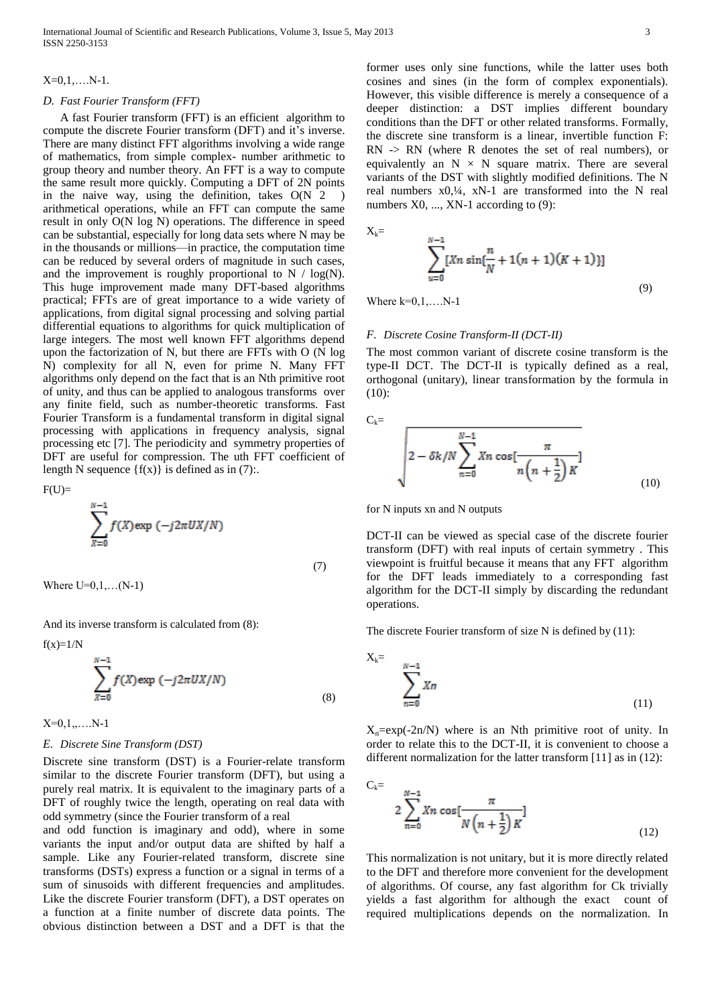#### $X=0,1,...N-1$ .

# *D. Fast Fourier Transform (FFT)*

A fast Fourier transform (FFT) is an efficient algorithm to compute the discrete Fourier transform (DFT) and it's inverse. There are many distinct FFT algorithms involving a wide range of mathematics, from simple complex- number arithmetic to group theory and number theory. An FFT is a way to compute the same result more quickly. Computing a DFT of 2N points in the naive way, using the definition, takes  $O(N^2)$ arithmetical operations, while an FFT can compute the same result in only O(N log N) operations. The difference in speed can be substantial, especially for long data sets where N may be in the thousands or millions—in practice, the computation time can be reduced by several orders of magnitude in such cases, and the improvement is roughly proportional to  $N / log(N)$ . This huge improvement made many DFT-based algorithms practical; FFTs are of great importance to a wide variety of applications, from digital signal processing and solving partial differential equations to algorithms for quick multiplication of large integers. The most well known FFT algorithms depend upon the factorization of N, but there are FFTs with O (N log N) complexity for all N, even for prime N. Many FFT algorithms only depend on the fact that is an Nth primitive root of unity, and thus can be applied to analogous transforms over any finite field, such as number-theoretic transforms. Fast Fourier Transform is a fundamental transform in digital signal processing with applications in frequency analysis, signal processing etc [7]. The periodicity and symmetry properties of DFT are useful for compression. The uth FFT coefficient of length N sequence  $\{f(x)\}\$ is defined as in (7):.

 $F(U)=$ 

$$
\sum_{X=0}^{N-1} f(X) \exp\left(-j2\pi U X/N\right)
$$
\n(7)

Where  $U=0,1,...(N-1)$ 

And its inverse transform is calculated from (8):

f(x)=1/N  

$$
\sum_{X=0}^{N-1} f(X) \exp(-j2\pi U X/N)
$$
 (8)

X=0,1,,….N-1

# *E. Discrete Sine Transform (DST)*

Discrete sine transform (DST) is a Fourier-relate transform similar to the discrete Fourier transform (DFT), but using a purely real matrix. It is equivalent to the imaginary parts of a DFT of roughly twice the length, operating on real data with odd symmetry (since the Fourier transform of a real

and odd function is imaginary and odd), where in some variants the input and/or output data are shifted by half a sample. Like any Fourier-related transform, discrete sine transforms (DSTs) express a function or a signal in terms of a sum of sinusoids with different frequencies and amplitudes. Like the discrete Fourier transform (DFT), a DST operates on a function at a finite number of discrete data points. The obvious distinction between a DST and a DFT is that the

former uses only sine functions, while the latter uses both cosines and sines (in the form of complex exponentials). However, this visible difference is merely a consequence of a deeper distinction: a DST implies different boundary conditions than the DFT or other related transforms. Formally, the discrete sine transform is a linear, invertible function F: RN -> RN (where R denotes the set of real numbers), or equivalently an  $N \times N$  square matrix. There are several variants of the DST with slightly modified definitions. The N real numbers x0,¼, xN-1 are transformed into the N real numbers  $X0$ , ...,  $XN-1$  according to (9):

$$
X_{k} = \sum_{u=0}^{N-1} [Xn \sin{\frac{n}{N}} + 1(n+1)(K+1)] \tag{9}
$$

Where  $k=0,1,...N-1$ 

### *F. Discrete Cosine Transform-II (DCT-II)*

The most common variant of discrete cosine transform is the type-II DCT. The DCT-II is typically defined as a real, orthogonal (unitary), linear transformation by the formula in (10):

$$
C_{k} = \sqrt{\frac{2 - \delta k}{N} \sum_{n=0}^{N-1} X_n \cos[\frac{\pi}{n(n + \frac{1}{2})}]} \tag{10}
$$

for N inputs xn and N outputs

DCT-II can be viewed as special case of the discrete fourier transform (DFT) with real inputs of certain symmetry . This viewpoint is fruitful because it means that any FFT algorithm for the DFT leads immediately to a corresponding fast algorithm for the DCT-II simply by discarding the redundant operations.

The discrete Fourier transform of size N is defined by (11):

$$
X_k = \sum_{n=0}^{N-1} X_n
$$
\n<sup>(11)</sup>

 $X_n = exp(-2n/N)$  where is an Nth primitive root of unity. In order to relate this to the DCT-II, it is convenient to choose a different normalization for the latter transform [11] as in (12):

$$
C_k = \sum_{n=0}^{N-1} X_n \cos\left[\frac{\pi}{N\left(n + \frac{1}{2}\right)K}\right]
$$
\n(12)

This normalization is not unitary, but it is more directly related to the DFT and therefore more convenient for the development of algorithms. Of course, any fast algorithm for Ck trivially yields a fast algorithm for although the exact count of required multiplications depends on the normalization. In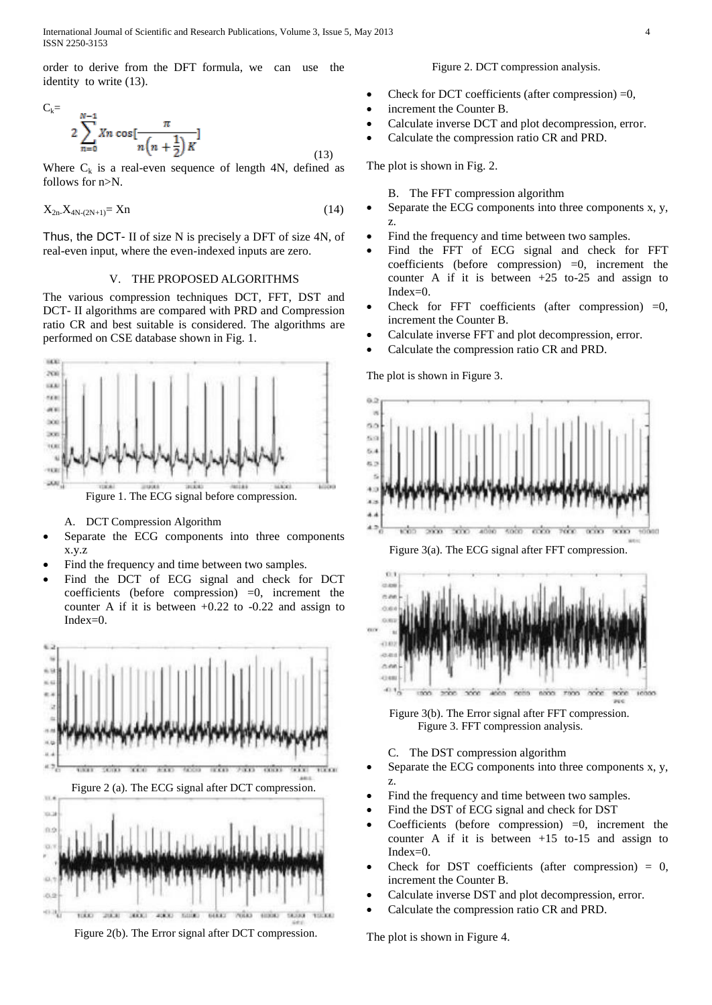order to derive from the DFT formula, we can use the identity to write (13).

$$
C_{k} = \sum_{n=0}^{N-1} X_n \cos\left[\frac{\pi}{n\left(n+\frac{1}{2}\right)K}\right]
$$
\n(13)

Where  $C_k$  is a real-even sequence of length 4N, defined as follows for n>N.

$$
X_{2n}X_{4N-(2N+1)} = Xn \tag{14}
$$

Thus, the DCT- II of size N is precisely a DFT of size 4N, of real-even input, where the even-indexed inputs are zero.

#### V. THE PROPOSED ALGORITHMS

The various compression techniques DCT, FFT, DST and DCT- II algorithms are compared with PRD and Compression ratio CR and best suitable is considered. The algorithms are performed on CSE database shown in Fig. 1.



A. DCT Compression Algorithm

- Separate the ECG components into three components x.y.z
- Find the frequency and time between two samples.
- Find the DCT of ECG signal and check for DCT coefficients (before compression)  $=0$ , increment the counter A if it is between +0.22 to -0.22 and assign to Index=0.



Figure 2(b). The Error signal after DCT compression.

# Figure 2. DCT compression analysis.

- Check for DCT coefficients (after compression) =0,
- increment the Counter B.
- Calculate inverse DCT and plot decompression, error.
- Calculate the compression ratio CR and PRD.

The plot is shown in Fig. 2.

B. The FFT compression algorithm

- Separate the ECG components into three components x, y, z.
- Find the frequency and time between two samples.
- Find the FFT of ECG signal and check for FFT coefficients (before compression)  $=0$ , increment the counter A if it is between  $+25$  to-25 and assign to Index=0.
- Check for FFT coefficients (after compression)  $=0$ , increment the Counter B.
- Calculate inverse FFT and plot decompression, error.
- Calculate the compression ratio CR and PRD.

The plot is shown in Figure 3.



Figure 3(a). The ECG signal after FFT compression.



 Figure 3(b). The Error signal after FFT compression. Figure 3. FFT compression analysis.

C. The DST compression algorithm

- Separate the ECG components into three components x, y, z.
- Find the frequency and time between two samples.
- Find the DST of ECG signal and check for DST
- Coefficients (before compression)  $=0$ , increment the counter A if it is between  $+15$  to-15 and assign to Index=0.
- Check for DST coefficients (after compression)  $= 0$ , increment the Counter B.
- Calculate inverse DST and plot decompression, error.
- Calculate the compression ratio CR and PRD.

The plot is shown in Figure 4.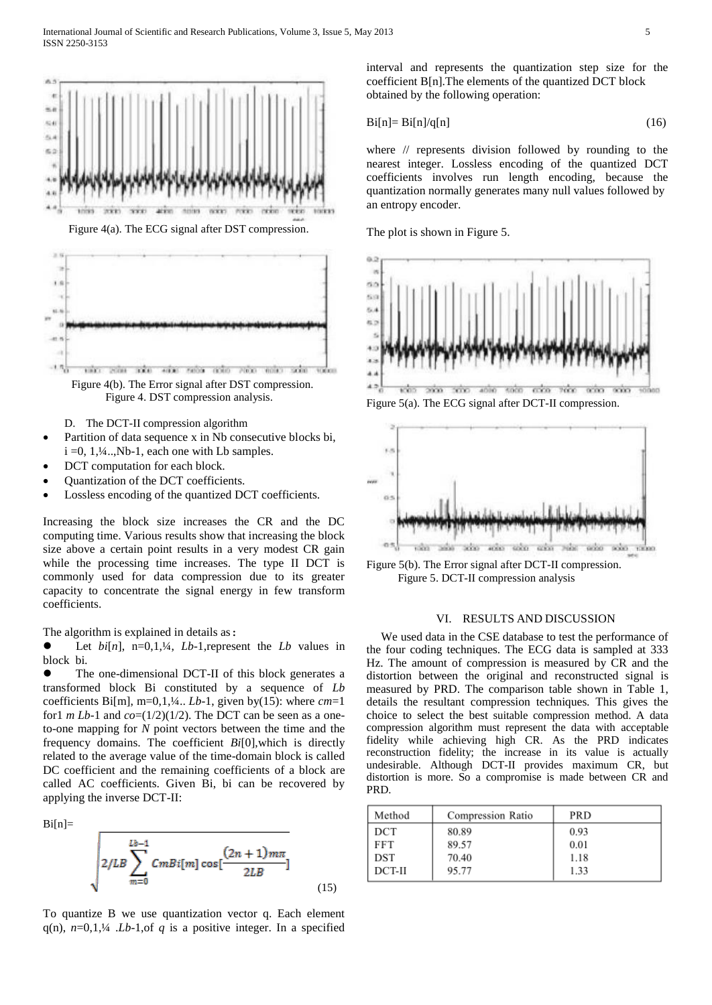

Figure 4(a). The ECG signal after DST compression.



Figure 4. DST compression analysis.

D. The DCT-II compression algorithm

- Partition of data sequence x in Nb consecutive blocks bi,  $i = 0, 1, 4, \ldots$ , Nb-1, each one with Lb samples.
- DCT computation for each block.
- Quantization of the DCT coefficients.
- Lossless encoding of the quantized DCT coefficients.

Increasing the block size increases the CR and the DC computing time. Various results show that increasing the block size above a certain point results in a very modest CR gain while the processing time increases. The type II DCT is commonly used for data compression due to its greater capacity to concentrate the signal energy in few transform coefficients.

The algorithm is explained in details as:

 Let *bi*[*n*], n=0,1,¼, *Lb*-1,represent the *Lb* values in blockbi*.* 

 The one-dimensional DCT-II of this block generates a transformed block Bi constituted by a sequence of *Lb* coefficients Bi[m], m=0,1,¼.. *Lb*-1, given by(15): where *cm*=1 for1 *m Lb*-1 and  $co=(1/2)(1/2)$ . The DCT can be seen as a oneto-one mapping for *N* point vectors between the time and the frequency domains. The coefficient *Bi*[0],which is directly related to the average value of the time-domain block is called DC coefficient and the remaining coefficients of a block are called AC coefficients. Given Bi, bi can be recovered by applying the inverse DCT-II:

 $Bi[n]=$ 

$$
2/LB\sum_{m=0}^{Lb-1} CmBi[m]cos[\frac{(2n+1)m\pi}{2LB}](15)
$$

To quantize B we use quantization vector q. Each element  $q(n)$ ,  $n=0,1,44$  .*Lb*-1,of *q* is a positive integer. In a specified interval and represents the quantization step size for the coefficient B[n].The elements of the quantized DCT block obtained by the following operation:

$$
Bi[n] = Bi[n]/q[n] \tag{16}
$$

where // represents division followed by rounding to the nearest integer. Lossless encoding of the quantized DCT coefficients involves run length encoding, because the quantization normally generates many null values followed by an entropy encoder.

The plot is shown in Figure 5.



Figure 5(a). The ECG signal after DCT-II compression.



Figure 5(b). The Error signal after DCT-II compression. Figure 5. DCT-II compression analysis

### VI. RESULTS AND DISCUSSION

 We used data in the CSE database to test the performance of the four coding techniques. The ECG data is sampled at 333 Hz. The amount of compression is measured by CR and the distortion between the original and reconstructed signal is measured by PRD. The comparison table shown in Table 1, details the resultant compression techniques. This gives the choice to select the best suitable compression method. A data compression algorithm must represent the data with acceptable fidelity while achieving high CR. As the PRD indicates reconstruction fidelity; the increase in its value is actually undesirable. Although DCT-II provides maximum CR, but distortion is more. So a compromise is made between CR and PRD.

| Method | Compression Ratio | PRD  |
|--------|-------------------|------|
| DCT    | 80.89             | 0.93 |
| FFT    | 89.57             | 0.01 |
| DST    | 70.40             | 1.18 |
| DCT-II | 95.77             | 1.33 |